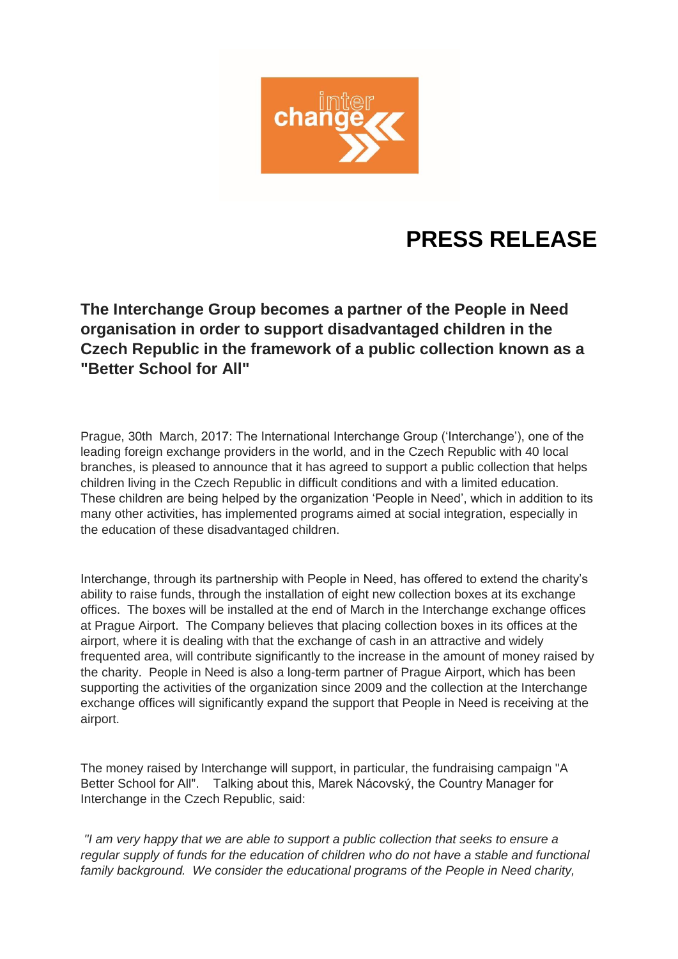

## **PRESS RELEASE**

**The Interchange Group becomes a partner of the People in Need organisation in order to support disadvantaged children in the Czech Republic in the framework of a public collection known as a "Better School for All"**

Prague, 30th March, 2017: The International Interchange Group ('Interchange'), one of the leading foreign exchange providers in the world, and in the Czech Republic with 40 local branches, is pleased to announce that it has agreed to support a public collection that helps children living in the Czech Republic in difficult conditions and with a limited education. These children are being helped by the organization 'People in Need', which in addition to its many other activities, has implemented programs aimed at social integration, especially in the education of these disadvantaged children.

Interchange, through its partnership with People in Need, has offered to extend the charity's ability to raise funds, through the installation of eight new collection boxes at its exchange offices. The boxes will be installed at the end of March in the Interchange exchange offices at Prague Airport. The Company believes that placing collection boxes in its offices at the airport, where it is dealing with that the exchange of cash in an attractive and widely frequented area, will contribute significantly to the increase in the amount of money raised by the charity. People in Need is also a long-term partner of Prague Airport, which has been supporting the activities of the organization since 2009 and the collection at the Interchange exchange offices will significantly expand the support that People in Need is receiving at the airport.

The money raised by Interchange will support, in particular, the fundraising campaign "A Better School for All". Talking about this, Marek Nácovský, the Country Manager for Interchange in the Czech Republic, said:

*"I am very happy that we are able to support a public collection that seeks to ensure a regular supply of funds for the education of children who do not have a stable and functional*  family background. We consider the educational programs of the People in Need charity,